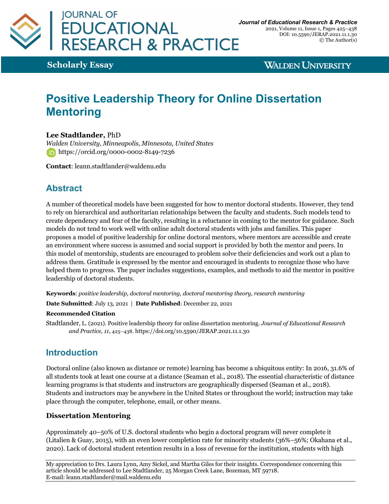

**Scholarly Essay**

**WALDEN UNIVERSITY** 

# **Positive Leadership Theory for Online Dissertation Mentoring**

**Lee Stadtlander,** PhD

*Walden University, Minneapolis, Minnesota, United States* **https://orcid.org/0000-0002-8149-7236** 

**Contact**: leann.stadtlander@waldenu.edu

## **Abstract**

A number of theoretical models have been suggested for how to mentor doctoral students. However, they tend to rely on hierarchical and authoritarian relationships between the faculty and students. Such models tend to create dependency and fear of the faculty, resulting in a reluctance in coming to the mentor for guidance. Such models do not tend to work well with online adult doctoral students with jobs and families. This paper proposes a model of positive leadership for online doctoral mentors, where mentors are accessible and create an environment where success is assumed and social support is provided by both the mentor and peers. In this model of mentorship, students are encouraged to problem solve their deficiencies and work out a plan to address them. Gratitude is expressed by the mentor and encouraged in students to recognize those who have helped them to progress. The paper includes suggestions, examples, and methods to aid the mentor in positive leadership of doctoral students.

**Keywords**: *positive leadership, doctoral mentoring, doctoral mentoring theory, research mentoring*

**Date Submitted**: July 13, 2021 | **Date Published**: December 22, 2021

#### **Recommended Citation**

Stadtlander, L. (2021). Positive leadership theory for online dissertation mentoring. *Journal of Educational Research and Practice, 11*, 425–438. https://doi.org/10.5590/JERAP.2021.11.1.30

## **Introduction**

Doctoral online (also known as distance or remote) learning has become a ubiquitous entity: In 2016, 31.6% of all students took at least one course at a distance (Seaman et al., 2018). The essential characteristic of distance learning programs is that students and instructors are geographically dispersed (Seaman et al., 2018). Students and instructors may be anywhere in the United States or throughout the world; instruction may take place through the computer, telephone, email, or other means.

#### **Dissertation Mentoring**

Approximately 40–50% of U.S. doctoral students who begin a doctoral program will never complete it (Litalien & Guay, 2015), with an even lower completion rate for minority students (36%–56%; Okahana et al., 2020). Lack of doctoral student retention results in a loss of revenue for the institution, students with high

My appreciation to Drs. Laura Lynn, Amy Sickel, and Martha Giles for their insights. Correspondence concerning this article should be addressed to Lee Stadtlander, 25 Morgan Creek Lane, Bozeman, MT 59718. E-mail: leann.stadtlander@mail.waldenu.edu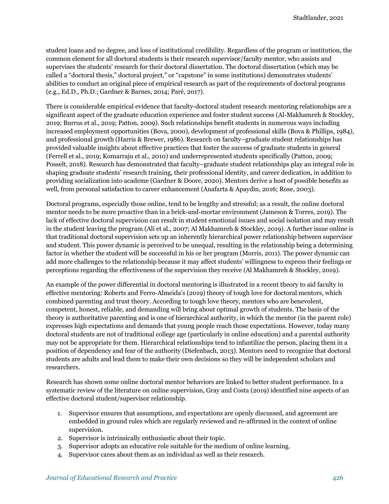student loans and no degree, and loss of institutional credibility. Regardless of the program or institution, the common element for all doctoral students is their research supervisor/faculty mentor, who assists and supervises the students' research for their doctoral dissertation. The doctoral dissertation (which may be called a "doctoral thesis," doctoral project," or "capstone" in some institutions) demonstrates students' abilities to conduct an original piece of empirical research as part of the requirements of doctoral programs (e.g., Ed.D., Ph.D.; Gardner & Barnes, 2014; Paré, 2017).

There is considerable empirical evidence that faculty-doctoral student research mentoring relationships are a significant aspect of the graduate education experience and foster student success (Al-Makhamreh & Stockley, 2019; Burrus et al., 2019; Patton, 2009). Such relationships benefit students in numerous ways including increased employment opportunities (Bova, 2000), development of professional skills (Bova & Phillips, 1984), and professional growth (Harris & Brewer, 1986). Research on faculty–graduate student relationships has provided valuable insights about effective practices that foster the success of graduate students in general (Ferrell et al., 2019; Komarraju et al., 2010) and underrepresented students specifically (Patton, 2009; Posselt, 2018). Research has demonstrated that faculty–graduate student relationships play an integral role in shaping graduate students' research training, their professional identity, and career dedication, in addition to providing socialization into academe (Gardner & Doore, 2020). Mentors derive a host of possible benefits as well, from personal satisfaction to career enhancement (Anafarta & Apaydin, 2016; Rose, 2003).

Doctoral programs, especially those online, tend to be lengthy and stressful; as a result, the online doctoral mentor needs to be more proactive than in a brick-and-mortar environment (Jameson & Torres, 2019). The lack of effective doctoral supervision can result in student emotional issues and social isolation and may result in the student leaving the program (Ali et al., 2007; Al Makhamreh & Stockley, 2019). A further issue online is that traditional doctoral supervision sets up an inherently hierarchical power relationship between supervisor and student. This power dynamic is perceived to be unequal, resulting in the relationship being a determining factor in whether the student will be successful in his or her program (Morris, 2011). The power dynamic can add more challenges to the relationship because it may affect students' willingness to express their feelings or perceptions regarding the effectiveness of the supervision they receive (Al Makhamreh & Stockley, 2019).

An example of the power differential in doctoral mentoring is illustrated in a recent theory to aid faculty in effective mentoring: Roberts and Ferro-Almeida's (2019) theory of tough love for doctoral mentors, which combined parenting and trust theory. According to tough love theory, mentors who are benevolent, competent, honest, reliable, and demanding will bring about optimal growth of students. The basis of the theory is authoritative parenting and is one of hierarchical authority, in which the mentor (in the parent role) expresses high expectations and demands that young people reach those expectations. However, today many doctoral students are not of traditional college age (particularly in online education) and a parental authority may not be appropriate for them. Hierarchical relationships tend to infantilize the person, placing them in a position of dependency and fear of the authority (Diefenbach, 2013). Mentors need to recognize that doctoral students are adults and lead them to make their own decisions so they will be independent scholars and researchers.

Research has shown some online doctoral mentor behaviors are linked to better student performance. In a systematic review of the literature on online supervision, Gray and Costa (2019) identified nine aspects of an effective doctoral student/supervisor relationship.

- 1. Supervisor ensures that assumptions, and expectations are openly discussed, and agreement are embedded in ground rules which are regularly reviewed and re-affirmed in the context of online supervision.
- 2. Supervisor is intrinsically enthusiastic about their topic.
- 3. Supervisor adopts an educative role suitable for the medium of online learning.
- 4. Supervisor cares about them as an individual as well as their research.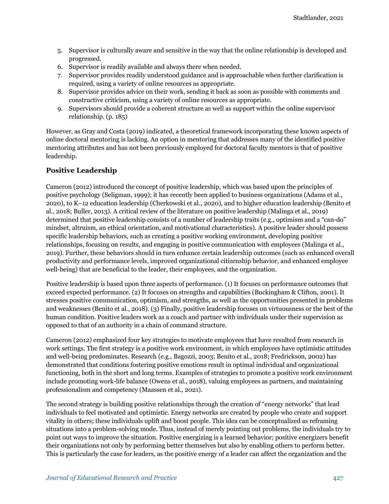- 5. Supervisor is culturally aware and sensitive in the way that the online relationship is developed and progressed.
- 6. Supervisor is readily available and always there when needed.
- 7. Supervisor provides readily understood guidance and is approachable when further clarification is required, using a variety of online resources as appropriate.
- 8. Supervisor provides advice on their work, sending it back as soon as possible with comments and constructive criticism, using a variety of online resources as appropriate.
- 9. Supervisors should provide a coherent structure as well as support within the online supervisor relationship. (p. 185)

However, as Gray and Costa (2019) indicated, a theoretical framework incorporating these known aspects of online doctoral mentoring is lacking. An option in mentoring that addresses many of the identified positive mentoring attributes and has not been previously employed for doctoral faculty mentors is that of positive leadership.

#### **Positive Leadership**

Cameron (2012) introduced the concept of positive leadership, which was based upon the principles of positive psychology (Seligman, 1999); it has recently been applied to business organizations (Adams et al., 2020), to K–12 education leadership (Cherkowski et al., 2020), and to higher education leadership (Benito et al., 2018; Buller, 2013). A critical review of the literature on positive leadership (Malinga et al., 2019) determined that positive leadership consists of a number of leadership traits (e.g., optimism and a "can-do" mindset, altruism, an ethical orientation, and motivational characteristics). A positive leader should possess specific leadership behaviors, such as creating a positive working environment, developing positive relationships, focusing on results, and engaging in positive communication with employees (Malinga et al., 2019). Further, these behaviors should in turn enhance certain leadership outcomes (such as enhanced overall productivity and performance levels, improved organizational citizenship behavior, and enhanced employee well-being) that are beneficial to the leader, their employees, and the organization.

Positive leadership is based upon three aspects of performance. (1) It focuses on performance outcomes that exceed expected performance. (2) It focuses on strengths and capabilities (Buckingham & Clifton, 2001). It stresses positive communication, optimism, and strengths, as well as the opportunities presented in problems and weaknesses (Benito et al., 2018). (3) Finally, positive leadership focuses on virtuousness or the best of the human condition. Positive leaders work as a coach and partner with individuals under their supervision as opposed to that of an authority in a chain of command structure.

Cameron (2012) emphasized four key strategies to motivate employees that have resulted from research in work settings. The first strategy is a positive work environment, in which employees have optimistic attitudes and well-being predominates. Research (e.g., Bagozzi, 2003; Benito et al., 2018; Fredrickson, 2002) has demonstrated that conditions fostering positive emotions result in optimal individual and organizational functioning, both in the short and long terms. Examples of strategies to promote a positive work environment include promoting work-life balance (Owens et al., 2018), valuing employees as partners, and maintaining professionalism and competency (Maassen et al., 2021).

The second strategy is building positive relationships through the creation of "energy networks" that lead individuals to feel motivated and optimistic. Energy networks are created by people who create and support vitality in others; these individuals uplift and boost people. This idea can be conceptualized as reframing situations into a problem-solving mode. Thus, instead of merely pointing out problems, the individuals try to point out ways to improve the situation. Positive energizing is a learned behavior; positive energizers benefit their organizations not only by performing better themselves but also by enabling others to perform better. This is particularly the case for leaders, as the positive energy of a leader can affect the organization and the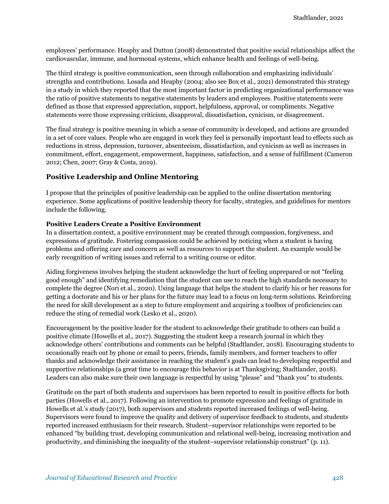employees' performance. Heaphy and Dutton (2008) demonstrated that positive social relationships affect the cardiovascular, immune, and hormonal systems, which enhance health and feelings of well-being.

The third strategy is positive communication, seen through collaboration and emphasizing individuals' strengths and contributions. Losada and Heaphy (2004; also see Box et al., 2021) demonstrated this strategy in a study in which they reported that the most important factor in predicting organizational performance was the ratio of positive statements to negative statements by leaders and employees. Positive statements were defined as those that expressed appreciation, support, helpfulness, approval, or compliments. Negative statements were those expressing criticism, disapproval, dissatisfaction, cynicism, or disagreement.

The final strategy is positive meaning in which a sense of community is developed, and actions are grounded in a set of core values. People who are engaged in work they feel is personally important lead to effects such as reductions in stress, depression, turnover, absenteeism, dissatisfaction, and cynicism as well as increases in commitment, effort, engagement, empowerment, happiness, satisfaction, and a sense of fulfillment (Cameron 2012; Chen, 2007; Gray & Costa, 2019).

#### **Positive Leadership and Online Mentoring**

I propose that the principles of positive leadership can be applied to the online dissertation mentoring experience. Some applications of positive leadership theory for faculty, strategies, and guidelines for mentors include the following.

#### **Positive Leaders Create a Positive Environment**

In a dissertation context, a positive environment may be created through compassion, forgiveness, and expressions of gratitude. Fostering compassion could be achieved by noticing when a student is having problems and offering care and concern as well as resources to support the student. An example would be early recognition of writing issues and referral to a writing course or editor.

Aiding forgiveness involves helping the student acknowledge the hurt of feeling unprepared or not "feeling good enough" and identifying remediation that the student can use to reach the high standards necessary to complete the degree (Nori et al., 2020). Using language that helps the student to clarify his or her reasons for getting a doctorate and his or her plans for the future may lead to a focus on long-term solutions. Reinforcing the need for skill development as a step to future employment and acquiring a toolbox of proficiencies can reduce the sting of remedial work (Lesko et al., 2020).

Encouragement by the positive leader for the student to acknowledge their gratitude to others can build a positive climate (Howells et al., 2017). Suggesting the student keep a research journal in which they acknowledge others' contributions and comments can be helpful (Stadtlander, 2018). Encouraging students to occasionally reach out by phone or email to peers, friends, family members, and former teachers to offer thanks and acknowledge their assistance in reaching the student's goals can lead to developing respectful and supportive relationships (a great time to encourage this behavior is at Thanksgiving; Stadtlander, 2018). Leaders can also make sure their own language is respectful by using "please" and "thank you" to students.

Gratitude on the part of both students and supervisors has been reported to result in positive effects for both parties (Howells et al., 2017). Following an intervention to promote expression and feelings of gratitude in Howells et al.'s study (2017), both supervisors and students reported increased feelings of well-being. Supervisors were found to improve the quality and delivery of supervisor feedback to students, and students reported increased enthusiasm for their research. Student–supervisor relationships were reported to be enhanced "by building trust, developing communication and relational well-being, increasing motivation and productivity, and diminishing the inequality of the student–supervisor relationship construct" (p. 11).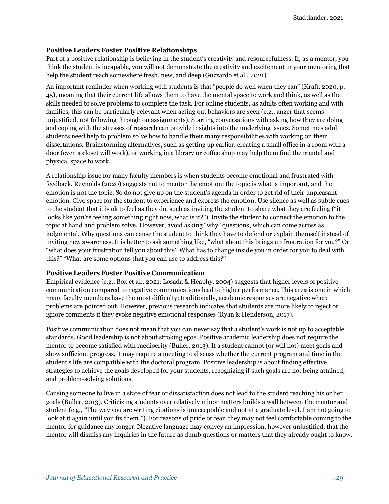#### **Positive Leaders Foster Positive Relationships**

Part of a positive relationship is believing in the student's creativity and resourcefulness. If, as a mentor, you think the student is incapable, you will not demonstrate the creativity and excitement in your mentoring that help the student reach somewhere fresh, new, and deep (Guzzardo et al., 2021).

An important reminder when working with students is that "people do well when they can" (Kraft, 2020, p. 45), meaning that their current life allows them to have the mental space to work and think, as well as the skills needed to solve problems to complete the task. For online students, as adults often working and with families, this can be particularly relevant when acting out behaviors are seen (e.g., anger that seems unjustified, not following through on assignments). Starting conversations with asking how they are doing and coping with the stresses of research can provide insights into the underlying issues. Sometimes adult students need help to problem solve how to handle their many responsibilities with working on their dissertations. Brainstorming alternatives, such as getting up earlier, creating a small office in a room with a door (even a closet will work), or working in a library or coffee shop may help them find the mental and physical space to work.

A relationship issue for many faculty members is when students become emotional and frustrated with feedback. Reynolds (2020) suggests not to mentor the emotion: the topic is what is important, and the emotion is not the topic. So do not give up on the student's agenda in order to get rid of their unpleasant emotion. Give space for the student to experience and express the emotion. Use silence as well as subtle cues to the student that it is ok to feel as they do, such as inviting the student to share what they are feeling ("it looks like you're feeling something right now, what is it?"). Invite the student to connect the emotion to the topic at hand and problem solve. However, avoid asking "why" questions, which can come across as judgmental. Why questions can cause the student to think they have to defend or explain themself instead of inviting new awareness. It is better to ask something like, "what about this brings up frustration for you?" Or "what does your frustration tell you about this? What has to change inside you in order for you to deal with this?" "What are some options that you can use to address this?"

#### **Positive Leaders Foster Positive Communication**

Empirical evidence (e.g., Box et al., 2021; Losada & Heaphy, 2004) suggests that higher levels of positive communication compared to negative communications lead to higher performance. This area is one in which many faculty members have the most difficulty; traditionally, academic responses are negative where problems are pointed out. However, previous research indicates that students are more likely to reject or ignore comments if they evoke negative emotional responses (Ryan & Henderson, 2017).

Positive communication does not mean that you can never say that a student's work is not up to acceptable standards. Good leadership is not about stroking egos. Positive academic leadership does not require the mentor to become satisfied with mediocrity (Buller, 2013). If a student cannot (or will not) meet goals and show sufficient progress, it may require a meeting to discuss whether the current program and time in the student's life are compatible with the doctoral program. Positive leadership is about finding effective strategies to achieve the goals developed for your students, recognizing if such goals are not being attained, and problem-solving solutions.

Causing someone to live in a state of fear or dissatisfaction does not lead to the student reaching his or her goals (Buller, 2013). Criticizing students over relatively minor matters builds a wall between the mentor and student (e.g., "The way you are writing citations is unacceptable and not at a graduate level. I am not going to look at it again until you fix them."). For reasons of pride or fear, they may not feel comfortable coming to the mentor for guidance any longer. Negative language may convey an impression, however unjustified, that the mentor will dismiss any inquiries in the future as dumb questions or matters that they already ought to know.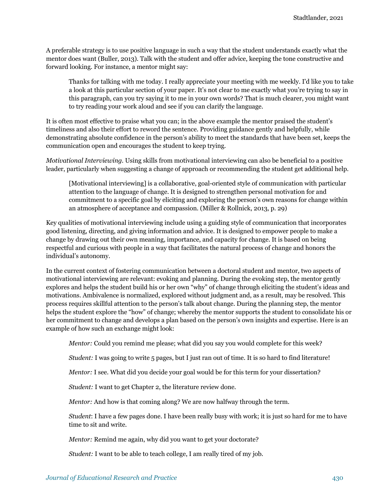A preferable strategy is to use positive language in such a way that the student understands exactly what the mentor does want (Buller, 2013). Talk with the student and offer advice, keeping the tone constructive and forward looking. For instance, a mentor might say:

Thanks for talking with me today. I really appreciate your meeting with me weekly. I'd like you to take a look at this particular section of your paper. It's not clear to me exactly what you're trying to say in this paragraph, can you try saying it to me in your own words? That is much clearer, you might want to try reading your work aloud and see if you can clarify the language.

It is often most effective to praise what you can; in the above example the mentor praised the student's timeliness and also their effort to reword the sentence. Providing guidance gently and helpfully, while demonstrating absolute confidence in the person's ability to meet the standards that have been set, keeps the communication open and encourages the student to keep trying.

*Motivational Interviewing.* Using skills from motivational interviewing can also be beneficial to a positive leader, particularly when suggesting a change of approach or recommending the student get additional help.

[Motivational interviewing] is a collaborative, goal-oriented style of communication with particular attention to the language of change. It is designed to strengthen personal motivation for and commitment to a specific goal by eliciting and exploring the person's own reasons for change within an atmosphere of acceptance and compassion. (Miller & Rollnick, 2013, p. 29)

Key qualities of motivational interviewing include using a guiding style of communication that incorporates good listening, directing, and giving information and advice. It is designed to empower people to make a change by drawing out their own meaning, importance, and capacity for change. It is based on being respectful and curious with people in a way that facilitates the natural process of change and honors the individual's autonomy.

In the current context of fostering communication between a doctoral student and mentor, two aspects of motivational interviewing are relevant: evoking and planning. During the evoking step, the mentor gently explores and helps the student build his or her own "why" of change through eliciting the student's ideas and motivations. Ambivalence is normalized, explored without judgment and, as a result, may be resolved. This process requires skillful attention to the person's talk about change. During the planning step, the mentor helps the student explore the "how" of change; whereby the mentor supports the student to consolidate his or her commitment to change and develops a plan based on the person's own insights and expertise. Here is an example of how such an exchange might look:

*Mentor:* Could you remind me please; what did you say you would complete for this week?

*Student:* I was going to write 5 pages, but I just ran out of time. It is so hard to find literature!

*Mentor:* I see. What did you decide your goal would be for this term for your dissertation?

*Student:* I want to get Chapter 2, the literature review done.

*Mentor:* And how is that coming along? We are now halfway through the term.

*Student*: I have a few pages done. I have been really busy with work; it is just so hard for me to have time to sit and write.

*Mentor:* Remind me again, why did you want to get your doctorate?

*Student:* I want to be able to teach college, I am really tired of my job.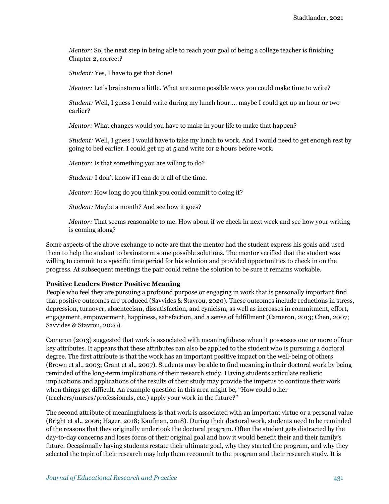*Mentor:* So, the next step in being able to reach your goal of being a college teacher is finishing Chapter 2, correct?

*Student:* Yes, I have to get that done!

*Mentor:* Let's brainstorm a little. What are some possible ways you could make time to write?

*Student:* Well, I guess I could write during my lunch hour…. maybe I could get up an hour or two earlier?

*Mentor:* What changes would you have to make in your life to make that happen?

*Student:* Well, I guess I would have to take my lunch to work. And I would need to get enough rest by going to bed earlier. I could get up at 5 and write for 2 hours before work.

*Mentor:* Is that something you are willing to do?

*Student:* I don't know if I can do it all of the time.

*Mentor:* How long do you think you could commit to doing it?

*Student:* Maybe a month? And see how it goes?

*Mentor:* That seems reasonable to me. How about if we check in next week and see how your writing is coming along?

Some aspects of the above exchange to note are that the mentor had the student express his goals and used them to help the student to brainstorm some possible solutions. The mentor verified that the student was willing to commit to a specific time period for his solution and provided opportunities to check in on the progress. At subsequent meetings the pair could refine the solution to be sure it remains workable.

#### **Positive Leaders Foster Positive Meaning**

People who feel they are pursuing a profound purpose or engaging in work that is personally important find that positive outcomes are produced (Savvides & Stavrou, 2020). These outcomes include reductions in stress, depression, turnover, absenteeism, dissatisfaction, and cynicism, as well as increases in commitment, effort, engagement, empowerment, happiness, satisfaction, and a sense of fulfillment (Cameron, 2013; Chen, 2007; Savvides & Stavrou, 2020).

Cameron (2013) suggested that work is associated with meaningfulness when it possesses one or more of four key attributes. It appears that these attributes can also be applied to the student who is pursuing a doctoral degree. The first attribute is that the work has an important positive impact on the well-being of others (Brown et al., 2003; Grant et al., 2007). Students may be able to find meaning in their doctoral work by being reminded of the long-term implications of their research study. Having students articulate realistic implications and applications of the results of their study may provide the impetus to continue their work when things get difficult. An example question in this area might be, "How could other (teachers/nurses/professionals, etc.) apply your work in the future?"

The second attribute of meaningfulness is that work is associated with an important virtue or a personal value (Bright et al., 2006; Hager, 2018; Kaufman, 2018). During their doctoral work, students need to be reminded of the reasons that they originally undertook the doctoral program. Often the student gets distracted by the day-to-day concerns and loses focus of their original goal and how it would benefit their and their family's future. Occasionally having students restate their ultimate goal, why they started the program, and why they selected the topic of their research may help them recommit to the program and their research study. It is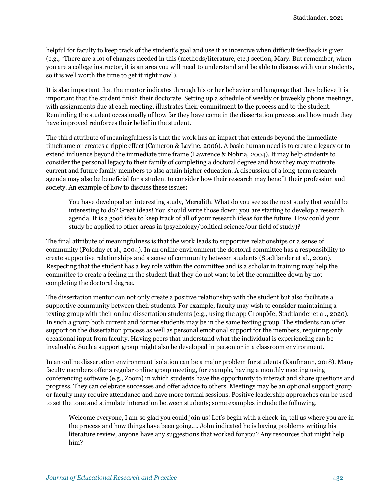helpful for faculty to keep track of the student's goal and use it as incentive when difficult feedback is given (e.g., "There are a lot of changes needed in this (methods/literature, etc.) section, Mary. But remember, when you are a college instructor, it is an area you will need to understand and be able to discuss with your students, so it is well worth the time to get it right now").

It is also important that the mentor indicates through his or her behavior and language that they believe it is important that the student finish their doctorate. Setting up a schedule of weekly or biweekly phone meetings, with assignments due at each meeting, illustrates their commitment to the process and to the student. Reminding the student occasionally of how far they have come in the dissertation process and how much they have improved reinforces their belief in the student.

The third attribute of meaningfulness is that the work has an impact that extends beyond the immediate timeframe or creates a ripple effect (Cameron & Lavine, 2006). A basic human need is to create a legacy or to extend influence beyond the immediate time frame (Lawrence & Nohria, 2004). It may help students to consider the personal legacy to their family of completing a doctoral degree and how they may motivate current and future family members to also attain higher education. A discussion of a long-term research agenda may also be beneficial for a student to consider how their research may benefit their profession and society. An example of how to discuss these issues:

You have developed an interesting study, Meredith. What do you see as the next study that would be interesting to do? Great ideas! You should write those down; you are starting to develop a research agenda. It is a good idea to keep track of all of your research ideas for the future. How could your study be applied to other areas in (psychology/political science/our field of study)?

The final attribute of meaningfulness is that the work leads to supportive relationships or a sense of community (Polodny et al., 2004). In an online environment the doctoral committee has a responsibility to create supportive relationships and a sense of community between students (Stadtlander et al., 2020). Respecting that the student has a key role within the committee and is a scholar in training may help the committee to create a feeling in the student that they do not want to let the committee down by not completing the doctoral degree.

The dissertation mentor can not only create a positive relationship with the student but also facilitate a supportive community between their students. For example, faculty may wish to consider maintaining a texting group with their online dissertation students (e.g., using the app GroupMe; Stadtlander et al., 2020). In such a group both current and former students may be in the same texting group. The students can offer support on the dissertation process as well as personal emotional support for the members, requiring only occasional input from faculty. Having peers that understand what the individual is experiencing can be invaluable. Such a support group might also be developed in person or in a classroom environment.

In an online dissertation environment isolation can be a major problem for students (Kaufmann, 2018). Many faculty members offer a regular online group meeting, for example, having a monthly meeting using conferencing software (e.g., Zoom) in which students have the opportunity to interact and share questions and progress. They can celebrate successes and offer advice to others. Meetings may be an optional support group or faculty may require attendance and have more formal sessions. Positive leadership approaches can be used to set the tone and stimulate interaction between students; some examples include the following.

Welcome everyone, I am so glad you could join us! Let's begin with a check-in, tell us where you are in the process and how things have been going…. John indicated he is having problems writing his literature review, anyone have any suggestions that worked for you? Any resources that might help him?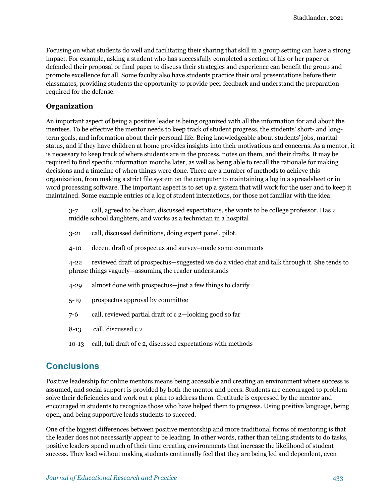Focusing on what students do well and facilitating their sharing that skill in a group setting can have a strong impact. For example, asking a student who has successfully completed a section of his or her paper or defended their proposal or final paper to discuss their strategies and experience can benefit the group and promote excellence for all. Some faculty also have students practice their oral presentations before their classmates, providing students the opportunity to provide peer feedback and understand the preparation required for the defense.

#### **Organization**

An important aspect of being a positive leader is being organized with all the information for and about the mentees. To be effective the mentor needs to keep track of student progress, the students' short- and longterm goals, and information about their personal life. Being knowledgeable about students' jobs, marital status, and if they have children at home provides insights into their motivations and concerns. As a mentor, it is necessary to keep track of where students are in the process, notes on them, and their drafts. It may be required to find specific information months later, as well as being able to recall the rationale for making decisions and a timeline of when things were done. There are a number of methods to achieve this organization, from making a strict file system on the computer to maintaining a log in a spreadsheet or in word processing software. The important aspect is to set up a system that will work for the user and to keep it maintained. Some example entries of a log of student interactions, for those not familiar with the idea:

3-7 call, agreed to be chair, discussed expectations, she wants to be college professor. Has 2 middle school daughters, and works as a technician in a hospital

- 3-21 call, discussed definitions, doing expert panel, pilot.
- 4-10 decent draft of prospectus and survey–made some comments

4-22 reviewed draft of prospectus—suggested we do a video chat and talk through it. She tends to phrase things vaguely—assuming the reader understands

- 4-29 almost done with prospectus—just a few things to clarify
- 5-19 prospectus approval by committee
- 7-6 call, reviewed partial draft of c 2—looking good so far
- 8-13 call, discussed c 2
- 10-13 call, full draft of c 2, discussed expectations with methods

### **Conclusions**

Positive leadership for online mentors means being accessible and creating an environment where success is assumed, and social support is provided by both the mentor and peers. Students are encouraged to problem solve their deficiencies and work out a plan to address them. Gratitude is expressed by the mentor and encouraged in students to recognize those who have helped them to progress. Using positive language, being open, and being supportive leads students to succeed.

One of the biggest differences between positive mentorship and more traditional forms of mentoring is that the leader does not necessarily appear to be leading. In other words, rather than telling students to do tasks, positive leaders spend much of their time creating environments that increase the likelihood of student success. They lead without making students continually feel that they are being led and dependent, even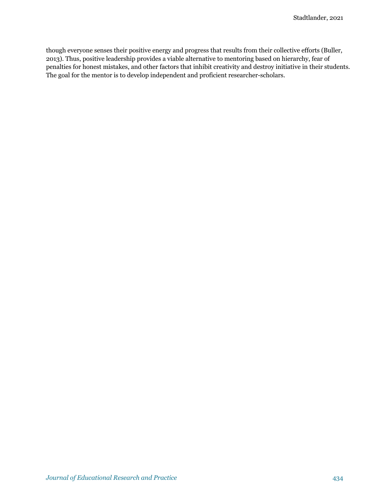though everyone senses their positive energy and progress that results from their collective efforts (Buller, 2013). Thus, positive leadership provides a viable alternative to mentoring based on hierarchy, fear of penalties for honest mistakes, and other factors that inhibit creativity and destroy initiative in their students. The goal for the mentor is to develop independent and proficient researcher-scholars.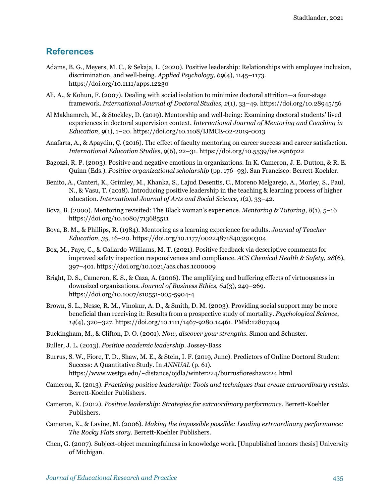## **References**

- Adams, B. G., Meyers, M. C., & Sekaja, L. (2020). Positive leadership: Relationships with employee inclusion, discrimination, and well-being. *Applied Psychology*, *69*(4), 1145–1173. https://doi.org/10.1111/apps.12230
- Ali, A., & Kohun, F. (2007). Dealing with social isolation to minimize doctoral attrition—a four-stage framework. *International Journal of Doctoral Studies, 2*(1), 33–49. https://doi.org/10.28945/56
- Al Makhamreh, M., & Stockley, D. (2019). Mentorship and well-being: Examining doctoral students' lived experiences in doctoral supervision context. *International Journal of Mentoring and Coaching in Education*, *9*(1), 1–20. https://doi.org/10.1108/IJMCE-02-2019-0013
- Anafarta, A., & Apaydin, Ç. (2016). The effect of faculty mentoring on career success and career satisfaction. *International Education Studies*, *9*(6), 22–31. https://doi.org/10.5539/ies.v9n6p22
- Bagozzi, R. P. (2003). Positive and negative emotions in organizations. In K. Cameron, J. E. Dutton, & R. E. Quinn (Eds.). *Positive organizational scholarship* (pp. 176–93). San Francisco: Berrett-Koehler.
- Benito, A., Canteri, K., Grimley, M., Khanka, S., Lajud Desentis, C., Moreno Melgarejo, A., Morley, S., Paul, N., & Vasu, T. (2018). Introducing positive leadership in the teaching & learning process of higher education. *International Journal of Arts and Social Science*, *1*(2), 33–42.
- Bova, B. (2000). Mentoring revisited: The Black woman's experience. *Mentoring & Tutoring, 8*(1), 5–16 https://doi.org/10.1080/713685511
- Bova, B. M., & Phillips, R. (1984). Mentoring as a learning experience for adults. *Journal of Teacher Education, 35*, 16–20. https://doi.org/10.1177/002248718403500304
- Box, M., Paye, C., & Gallardo-Williams, M. T. (2021). Positive feedback via descriptive comments for improved safety inspection responsiveness and compliance. *ACS Chemical Health & Safety*, *28*(6), 397–401. https://doi.org/10.1021/acs.chas.1c00009
- Bright, D. S., Cameron, K. S., & Caza, A. (2006). The amplifying and buffering effects of virtuousness in downsized organizations. *Journal of Business Ethics*, *64*(3), 249–269. https://doi.org/10.1007/s10551-005-5904-4
- Brown, S. L., Nesse, R. M., Vinokur, A. D., & Smith, D. M. (2003). Providing social support may be more beneficial than receiving it: Results from a prospective study of mortality. *Psychological Science*, *14*(4), 320–327. https://doi.org/10.1111/1467-9280.14461. PMid:12807404
- Buckingham, M., & Clifton, D. O. (2001). *Now, discover your strengths*. Simon and Schuster.
- Buller, J. L. (2013). *Positive academic leadership*. Jossey-Bass
- Burrus, S. W., Fiore, T. D., Shaw, M. E., & Stein, I. F. (2019, June). Predictors of Online Doctoral Student Success: A Quantitative Study. In *ANNUAL* (p. 61). https://www.westga.edu/~distance/ojdla/winter224/burrusfioreshaw224.html
- Cameron, K. (2013). *Practicing positive leadership: Tools and techniques that create extraordinary results*. Berrett-Koehler Publishers.
- Cameron, K. (2012). *Positive leadership: Strategies for extraordinary performance*. Berrett-Koehler Publishers.
- Cameron, K., & Lavine, M. (2006). *Making the impossible possible: Leading extraordinary performance: The Rocky Flats story*. Berrett-Koehler Publishers.
- Chen, G. (2007). Subject-object meaningfulness in knowledge work. [Unpublished honors thesis] University of Michigan.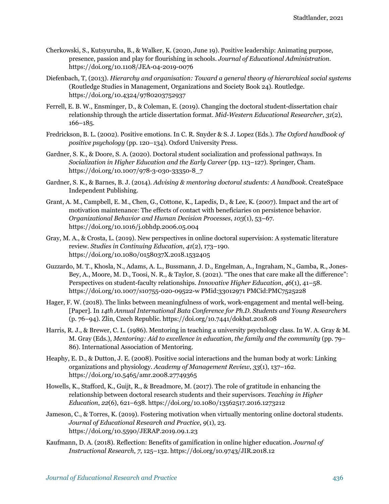- Cherkowski, S., Kutsyuruba, B., & Walker, K. (2020, June 19). Positive leadership: Animating purpose, presence, passion and play for flourishing in schools. *Journal of Educational Administration*. https://doi.org/10.1108/JEA-04-2019-0076
- Diefenbach, T, (2013). *Hierarchy and organisation: Toward a general theory of hierarchical social systems* (Routledge Studies in Management, Organizations and Society Book 24). Routledge. https://doi.org/10.4324/9780203752937
- Ferrell, E. B. W., Ensminger, D., & Coleman, E. (2019). Changing the doctoral student-dissertation chair relationship through the article dissertation format. *Mid-Western Educational Researcher*, *31*(2), 166–185.
- Fredrickson, B. L. (2002). Positive emotions. In C. R. Snyder & S. J. Lopez (Eds.). *The Oxford handbook of positive psychology* (pp. 120–134). Oxford University Press.
- Gardner, S. K., & Doore, S. A. (2020). Doctoral student socialization and professional pathways. In *Socialization in Higher Education and the Early Career* (pp. 113–127). Springer, Cham. https://doi.org/10.1007/978-3-030-33350-8\_7
- Gardner, S. K., & Barnes, B. J. (2014). *Advising & mentoring doctoral students: A handbook*. CreateSpace Independent Publishing.
- Grant, A. M., Campbell, E. M., Chen, G., Cottone, K., Lapedis, D., & Lee, K. (2007). Impact and the art of motivation maintenance: The effects of contact with beneficiaries on persistence behavior. *Organizational Behavior and Human Decision Processes*, *103*(1), 53–67. https://doi.org/10.1016/j.obhdp.2006.05.004
- Gray, M. A., & Crosta, L. (2019). New perspectives in online doctoral supervision: A systematic literature review. *Studies in Continuing Education*, *41*(2), 173–190. https://doi.org/10.1080/0158037X.2018.1532405
- Guzzardo, M. T., Khosla, N., Adams, A. L., Bussmann, J. D., Engelman, A., Ingraham, N., Gamba, R., Jones-Bey, A., Moore, M. D., Toosi, N. R., & Taylor, S. (2021). "The ones that care make all the difference": Perspectives on student-faculty relationships. *Innovative Higher Education*, *46*(1), 41–58. https://doi.org/10.1007/s10755-020-09522-w PMid:33012971 PMCid:PMC7525228
- Hager, F. W. (2018). The links between meaningfulness of work, work-engagement and mental well-being. [Paper]. In *14th Annual International Bata Conference for Ph.D. Students and Young Researchers* (p. 76–94). Zlin, Czech Republic. https://doi.org/10.7441/dokbat.2018.08
- Harris, R. J., & Brewer, C. L. (1986). Mentoring in teaching a university psychology class. In W. A. Gray & M. M. Gray (Eds.), *Mentoring: Aid to excellence in education, the family and the community* (pp. 79– 86). International Association of Mentoring.
- Heaphy, E. D., & Dutton, J. E. (2008). Positive social interactions and the human body at work: Linking organizations and physiology. *Academy of Management Review*, *33*(1), 137–162. https://doi.org/10.5465/amr.2008.27749365
- Howells, K., Stafford, K., Guijt, R., & Breadmore, M. (2017). The role of gratitude in enhancing the relationship between doctoral research students and their supervisors. *Teaching in Higher Education*, *22*(6), 621–638. https://doi.org/10.1080/13562517.2016.1273212
- Jameson, C., & Torres, K. (2019). Fostering motivation when virtually mentoring online doctoral students. *Journal of Educational Research and Practice*, *9*(1), 23. https://doi.org/10.5590/JERAP.2019.09.1.23
- Kaufmann, D. A. (2018). Reflection: Benefits of gamification in online higher education. *Journal of Instructional Research*, *7*, 125–132. https://doi.org/10.9743/JIR.2018.12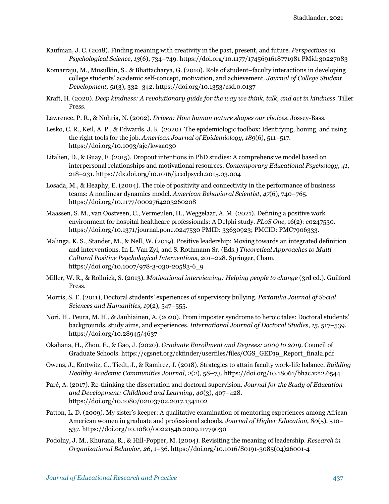- Kaufman, J. C. (2018). Finding meaning with creativity in the past, present, and future. *Perspectives on Psychological Science*, *13*(6), 734–749. https://doi.org/10.1177/1745691618771981 PMid:30227083
- Komarraju, M., Musulkin, S., & Bhattacharya, G. (2010). Role of student–faculty interactions in developing college students' academic self-concept, motivation, and achievement. *Journal of College Student Development, 51*(3), 332–342. https://doi.org/10.1353/csd.0.0137
- Kraft, H. (2020). *Deep kindness: A revolutionary guide for the way we think, talk, and act in kindness*. Tiller Press.
- Lawrence, P. R., & Nohria, N. (2002). *Driven: How human nature shapes our choices*. Jossey-Bass.
- Lesko, C. R., Keil, A. P., & Edwards, J. K. (2020). The epidemiologic toolbox: Identifying, honing, and using the right tools for the job. *American Journal of Epidemiology*, *189*(6), 511–517. https://doi.org/10.1093/aje/kwaa030
- Litalien, D., & Guay, F. (2015). Dropout intentions in PhD studies: A comprehensive model based on interpersonal relationships and motivational resources. *Contemporary Educational Psychology, 41*, 218–231. https://dx.doi.org/10.1016/j.cedpsych.2015.03.004
- Losada, M., & Heaphy, E. (2004). The role of positivity and connectivity in the performance of business teams: A nonlinear dynamics model. *American Behavioral Scientist*, *47*(6), 740–765. https://doi.org/10.1177/0002764203260208
- Maassen, S. M., van Oostveen, C., Vermeulen, H., Weggelaar, A. M. (2021). Defining a positive work environment for hospital healthcare professionals: A Delphi study. *PLoS One*, 16(2): e0247530. https://doi.org/10.1371/journal.pone.0247530 PMID: 33630923; PMCID: PMC7906333.
- Malinga, K. S., Stander, M., & Nell, W. (2019). Positive leadership: Moving towards an integrated definition and interventions. In L. Van Zyl, and S. Rothmann Sr. (Eds.) *Theoretical Approaches to Multi-Cultural Positive Psychological Interventions*, 201–228. Springer, Cham. https://doi.org/10.1007/978-3-030-20583-6\_9
- Miller, W. R., & Rollnick, S. (2013). *Motivational interviewing: Helping people to change* (3rd ed.). Guilford Press.
- Morris, S. E. (2011), Doctoral students' experiences of supervisory bullying. *Pertanika Journal of Social Sciences and Humanities, 19*(2), 547–555.
- Nori, H., Peura, M. H., & Jauhiainen, A. (2020). From imposter syndrome to heroic tales: Doctoral students' backgrounds, study aims, and experiences. *International Journal of Doctoral Studies*, *15*, 517–539. https://doi.org/10.28945/4637
- Okahana, H., Zhou, E., & Gao, J. (2020). *Graduate Enrollment and Degrees: 2009 to 2019*. Council of Graduate Schools. https://cgsnet.org/ckfinder/userfiles/files/CGS\_GED19\_Report\_final2.pdf
- Owens, J., Kottwitz, C., Tiedt, J., & Ramirez, J. (2018). Strategies to attain faculty work-life balance. *Building Healthy Academic Communities Journal*, *2*(2), 58–73. https://doi.org/10.18061/bhac.v2i2.6544
- Paré, A. (2017). Re-thinking the dissertation and doctoral supervision. *Journal for the Study of Education and Development: Childhood and Learning*, *40*(3), 407–428. https://doi.org/10.1080/02103702.2017.1341102
- Patton, L. D. (2009). My sister's keeper: A qualitative examination of mentoring experiences among African American women in graduate and professional schools. *Journal of Higher Education, 80*(5), 510– 537. https://doi.org/10.1080/00221546.2009.11779030
- Podolny, J. M., Khurana, R., & Hill-Popper, M. (2004). Revisiting the meaning of leadership. *Research in Organizational Behavior*, *26*, 1–36. https://doi.org/10.1016/S0191-3085(04)26001-4